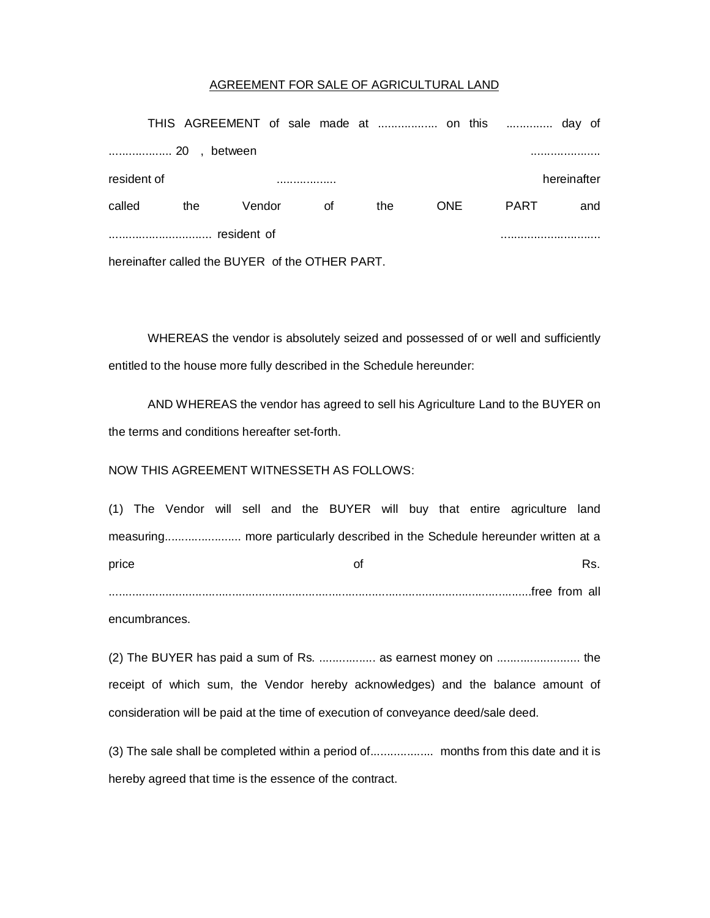## AGREEMENT FOR SALE OF AGRICULTURAL LAND

|                                                 |     |             |    |     | THIS AGREEMENT of sale made at  on this  day of |             |     |  |  |  |
|-------------------------------------------------|-----|-------------|----|-----|-------------------------------------------------|-------------|-----|--|--|--|
| between                                         |     |             |    |     |                                                 |             |     |  |  |  |
| resident of                                     |     | hereinafter |    |     |                                                 |             |     |  |  |  |
| called                                          | the | Vendor      | οf | the | <b>ONE</b>                                      | <b>PART</b> | and |  |  |  |
| resident of                                     |     |             |    |     |                                                 |             |     |  |  |  |
| hereinafter called the BUYER of the OTHER PART. |     |             |    |     |                                                 |             |     |  |  |  |

WHEREAS the vendor is absolutely seized and possessed of or well and sufficiently entitled to the house more fully described in the Schedule hereunder:

AND WHEREAS the vendor has agreed to sell his Agriculture Land to the BUYER on the terms and conditions hereafter set-forth.

## NOW THIS AGREEMENT WITNESSETH AS FOLLOWS:

|       |  |  |  |    |  |  | (1) The Vendor will sell and the BUYER will buy that entire agriculture land |     |
|-------|--|--|--|----|--|--|------------------------------------------------------------------------------|-----|
|       |  |  |  |    |  |  |                                                                              |     |
| price |  |  |  | ∩t |  |  |                                                                              | Rs. |
|       |  |  |  |    |  |  |                                                                              |     |

encumbrances.

(2) The BUYER has paid a sum of Rs. ................. as earnest money on ......................... the receipt of which sum, the Vendor hereby acknowledges) and the balance amount of consideration will be paid at the time of execution of conveyance deed/sale deed.

(3) The sale shall be completed within a period of................... months from this date and it is hereby agreed that time is the essence of the contract.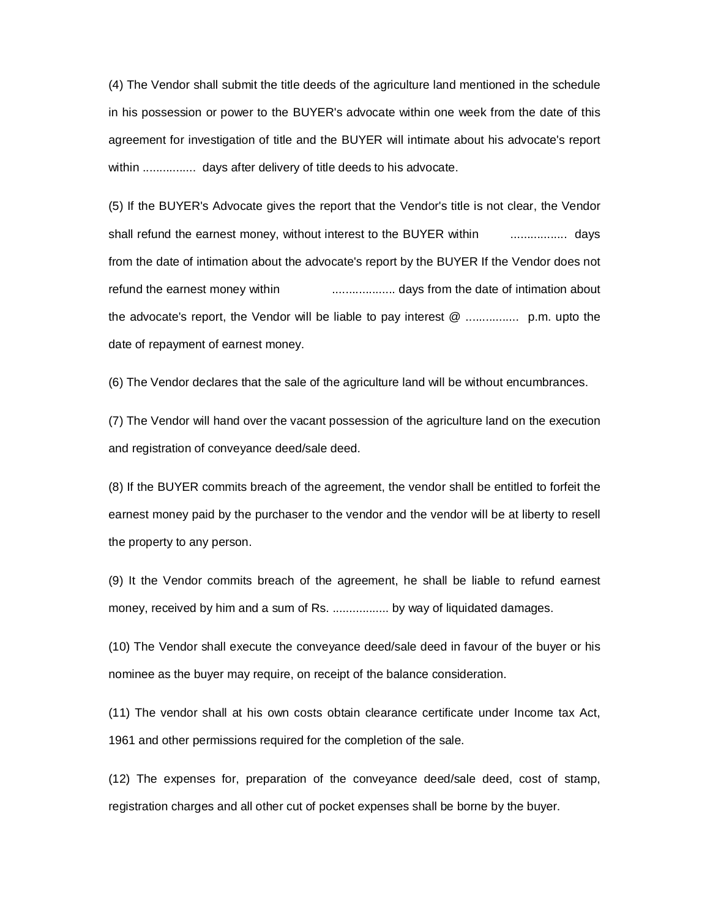(4) The Vendor shall submit the title deeds of the agriculture land mentioned in the schedule in his possession or power to the BUYER's advocate within one week from the date of this agreement for investigation of title and the BUYER will intimate about his advocate's report within ................ days after delivery of title deeds to his advocate.

(5) If the BUYER's Advocate gives the report that the Vendor's title is not clear, the Vendor shall refund the earnest money, without interest to the BUYER within ................. days from the date of intimation about the advocate's report by the BUYER If the Vendor does not refund the earnest money within ................... days from the date of intimation about the advocate's report, the Vendor will be liable to pay interest @ ................ p.m. upto the date of repayment of earnest money.

(6) The Vendor declares that the sale of the agriculture land will be without encumbrances.

(7) The Vendor will hand over the vacant possession of the agriculture land on the execution and registration of conveyance deed/sale deed.

(8) If the BUYER commits breach of the agreement, the vendor shall be entitled to forfeit the earnest money paid by the purchaser to the vendor and the vendor will be at liberty to resell the property to any person.

(9) It the Vendor commits breach of the agreement, he shall be liable to refund earnest money, received by him and a sum of Rs. ................. by way of liquidated damages.

(10) The Vendor shall execute the conveyance deed/sale deed in favour of the buyer or his nominee as the buyer may require, on receipt of the balance consideration.

(11) The vendor shall at his own costs obtain clearance certificate under Income tax Act, 1961 and other permissions required for the completion of the sale.

(12) The expenses for, preparation of the conveyance deed/sale deed, cost of stamp, registration charges and all other cut of pocket expenses shall be borne by the buyer.